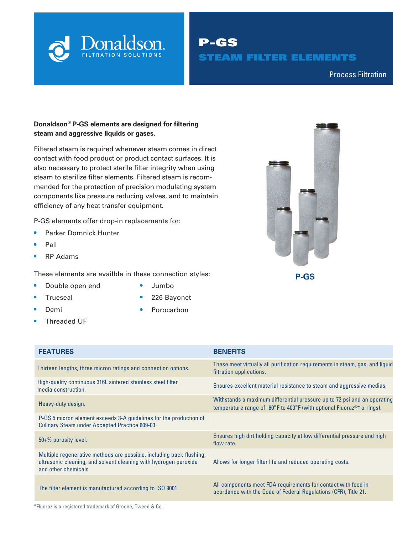

P-GS STEAM FILTER ELEMENTS

Compressed Air & Process Filtration Process Filtration

### **Donaldson® P-GS elements are designed for filtering steam and aggressive liquids or gases.**

Filtered steam is required whenever steam comes in direct contact with food product or product contact surfaces. It is also necessary to protect sterile filter integrity when using steam to sterilize filter elements. Filtered steam is recommended for the protection of precision modulating system components like pressure reducing valves, and to maintain efficiency of any heat transfer equipment.

P-GS elements offer drop-in replacements for:

- **•** Parker Domnick Hunter
- **•** Pall
- **•** RP Adams

These elements are availble in these connection styles:

- **•** Double open end
- 

- **•** Trueseal
- **•** Demi
- **•** Threaded UF
- **•** Jumbo
- **•** 226 Bayonet
- **•** Porocarbon

| <b>FEATURES</b>                                                                                                                                                  | <b>BENEFITS</b>                                                                                                                                                                      |
|------------------------------------------------------------------------------------------------------------------------------------------------------------------|--------------------------------------------------------------------------------------------------------------------------------------------------------------------------------------|
| Thirteen lengths, three micron ratings and connection options.                                                                                                   | These meet virtually all purification requirements in steam, gas, and liquid<br>filtration applications.                                                                             |
| High-quality continuous 316L sintered stainless steel filter<br>media construction.                                                                              | Ensures excellent material resistance to steam and aggressive medias.                                                                                                                |
| Heavy-duty design.                                                                                                                                               | Withstands a maximum differential pressure up to 72 psi and an operating<br>temperature range of -60 $^{\circ}$ F to 400 $^{\circ}$ F (with optional Fluoraz <sup>®*</sup> o-rings). |
| P-GS 5 micron element exceeds 3-A guidelines for the production of<br><b>Culinary Steam under Accepted Practice 609-03</b>                                       |                                                                                                                                                                                      |
| $50+$ % porosity level.                                                                                                                                          | Ensures high dirt holding capacity at low differential pressure and high<br>flow rate.                                                                                               |
| Multiple regenerative methods are possible, including back-flushing,<br>ultrasonic cleaning, and solvent cleaning with hydrogen peroxide<br>and other chemicals. | Allows for longer filter life and reduced operating costs.                                                                                                                           |
| The filter element is manufactured according to ISO 9001.                                                                                                        | All components meet FDA requirements for contact with food in<br>acordance with the Code of Federal Regulations (CFR), Title 21.                                                     |

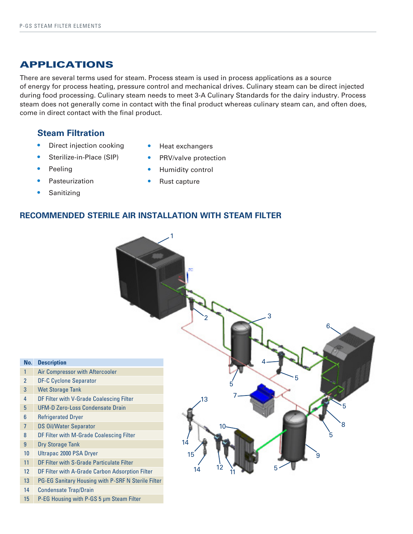# APPLICATIONS

There are several terms used for steam. Process steam is used in process applications as a source of energy for process heating, pressure control and mechanical drives. Culinary steam can be direct injected during food processing. Culinary steam needs to meet 3-A Culinary Standards for the dairy industry. Process steam does not generally come in contact with the final product whereas culinary steam can, and often does, come in direct contact with the final product.

## **Steam Filtration**

- **•** Direct injection cooking
- **•** Sterilize-in-Place (SIP)
- **•** Peeling
- **•** Pasteurization
- **•** Sanitizing
- **•** Heat exchangers
- **•** PRV/valve protection
- **•** Humidity control
- **•** Rust capture

## **RECOMMENDED STERILE AIR INSTALLATION WITH STEAM FILTER**

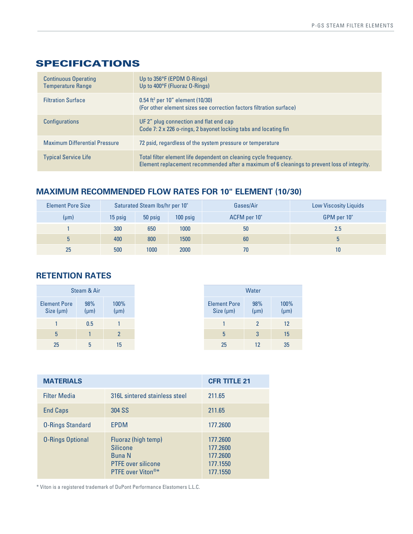# SPECIFICATIONS

| <b>Continuous Operating</b><br><b>Temperature Range</b> | Up to 356°F (EPDM 0-Rings)<br>Up to 400°F (Fluoraz O-Rings)                                                                                                      |
|---------------------------------------------------------|------------------------------------------------------------------------------------------------------------------------------------------------------------------|
| <b>Filtration Surface</b>                               | $0.54$ ft <sup>2</sup> per 10" element (10/30)<br>(For other element sizes see correction factors filtration surface)                                            |
| <b>Configurations</b>                                   | UF 2" plug connection and flat end cap<br>Code 7: 2 x 226 o-rings, 2 bayonet locking tabs and locating fin                                                       |
| <b>Maximum Differential Pressure</b>                    | 72 psid, regardless of the system pressure or temperature                                                                                                        |
| <b>Typical Service Life</b>                             | Total filter element life dependent on cleaning cycle frequency.<br>Element replacement recommended after a maximum of 6 cleanings to prevent loss of integrity. |

## **MAXIMUM RECOMMENDED FLOW RATES FOR 10" ELEMENT (10/30)**

| <b>Element Pore Size</b> | Saturated Steam lbs/hr per 10" |      |      | Gases/Air    | <b>Low Viscosity Liquids</b> |
|--------------------------|--------------------------------|------|------|--------------|------------------------------|
| $(\mu m)$                | 50 psig<br>100 psig<br>15 psig |      |      | ACFM per 10" | GPM per 10"                  |
|                          | 300                            | 650  | 1000 | 50           | 2.5                          |
| 5                        | 400                            | 800  | 1500 | 60           |                              |
| 25                       | 500                            | 1000 | 2000 | 70           | 10                           |

# **RETENTION RATES**

| Steam & Air                           |                  |                   |
|---------------------------------------|------------------|-------------------|
| <b>Element Pore</b><br>Size $(\mu m)$ | 98%<br>$(\mu m)$ | 100%<br>$(\mu m)$ |
|                                       | 0.5              |                   |
| 5                                     |                  | $\overline{2}$    |
| 25                                    | 5                | 15                |

| <b>MATERIALS</b>        |                                                                                                           | <b>CFR TITLE 21</b>                                      |
|-------------------------|-----------------------------------------------------------------------------------------------------------|----------------------------------------------------------|
| <b>Filter Media</b>     | 316L sintered stainless steel                                                                             | 211.65                                                   |
| <b>End Caps</b>         | 304 SS                                                                                                    | 211.65                                                   |
| <b>O-Rings Standard</b> | EPDM                                                                                                      | 177.2600                                                 |
| <b>O-Rings Optional</b> | Fluoraz (high temp)<br><b>Silicone</b><br><b>Buna N</b><br><b>PTFE</b> over silicone<br>PTFE over Viton®* | 177.2600<br>177.2600<br>177.2600<br>177.1550<br>177.1550 |

\* Viton is a registered trademark of DuPont Performance Elastomers L.L.C.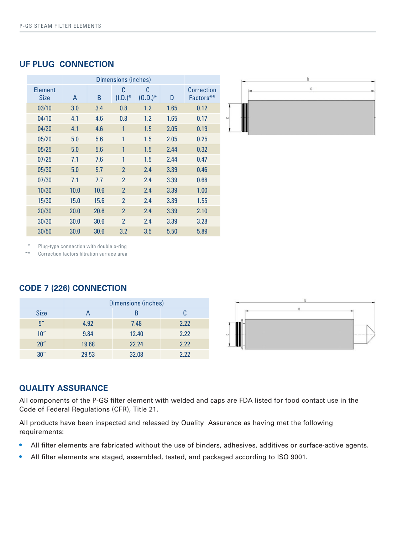| <b>Element</b><br>Size | A    | B    | C<br>$(I.D.)^*$ | C<br>$(0.D.)^*$ | D    | <b>Correction</b><br>Factors** |
|------------------------|------|------|-----------------|-----------------|------|--------------------------------|
| 03/10                  | 3.0  | 3.4  | 0.8             | 1.2             | 1.65 | 0.12                           |
| 04/10                  | 4.1  | 4.6  | 0.8             | 1.2             | 1.65 | 0.17                           |
| 04/20                  | 4.1  | 4.6  | 1               | 1.5             | 2.05 | 0.19                           |
| 05/20                  | 5.0  | 5.6  | 1               | 1.5             | 2.05 | 0.25                           |
| 05/25                  | 5.0  | 5.6  | 1               | 1.5             | 2.44 | 0.32                           |
| 07/25                  | 7.1  | 7.6  | 1               | 1.5             | 2.44 | 0.47                           |
| 05/30                  | 5.0  | 5.7  | $\overline{2}$  | 2.4             | 3.39 | 0.46                           |
| 07/30                  | 7.1  | 7.7  | $\overline{2}$  | 2.4             | 3.39 | 0.68                           |
| 10/30                  | 10.0 | 10.6 | $\overline{2}$  | 2.4             | 3.39 | 1.00                           |
| 15/30                  | 15.0 | 15.6 | $\overline{2}$  | 2.4             | 3.39 | 1.55                           |
| 20/30                  | 20.0 | 20.6 | $\overline{2}$  | 2.4             | 3.39 | 2.10                           |
| 30/30                  | 30.0 | 30.6 | $\overline{2}$  | 2.4             | 3.39 | 3.28                           |
| 30/50                  | 30.0 | 30.6 | 3.2             | 3.5             | 5.50 | 5.89                           |





Plug-type connection with double o-ring

\*\* Correction factors filtration surface area

## **CODE 7 (226) CONNECTION**

|                 | <b>Dimensions (inches)</b> |       |      |  |
|-----------------|----------------------------|-------|------|--|
| <b>Size</b>     |                            |       |      |  |
| 5 <sup>''</sup> | 4.92                       | 7.48  | 2.22 |  |
| 10"             | 9.84                       | 12.40 | 2.22 |  |
| 20"             | 19.68                      | 22.24 | 2.22 |  |
| 30''            | 29.53                      | 32.08 | 222  |  |



## **QUALITY ASSURANCE**

All components of the P-GS filter element with welded and caps are FDA listed for food contact use in the Code of Federal Regulations (CFR), Title 21.

All products have been inspected and released by Quality Assurance as having met the following requirements:

- **•** All filter elements are fabricated without the use of binders, adhesives, additives or surface-active agents.
- All filter elements are staged, assembled, tested, and packaged according to ISO 9001.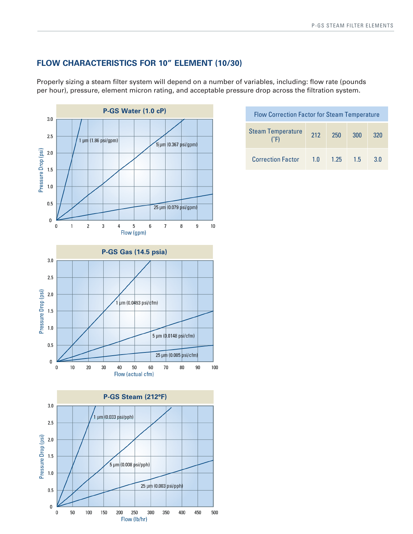## **FLOW CHARACTERISTICS FOR 10" ELEMENT (10/30)**

Properly sizing a steam filter system will depend on a number of variables, including: flow rate (pounds per hour), pressure, element micron rating, and acceptable pressure drop across the filtration system.



| <b>Flow Correction Factor for Steam Temperature</b> |     |      |     |                |  |
|-----------------------------------------------------|-----|------|-----|----------------|--|
| <b>Steam Temperature</b>                            | 212 | 250  | 300 | 320            |  |
| <b>Correction Factor</b>                            | 1 O | 1.25 | 15  | 3 <sub>0</sub> |  |